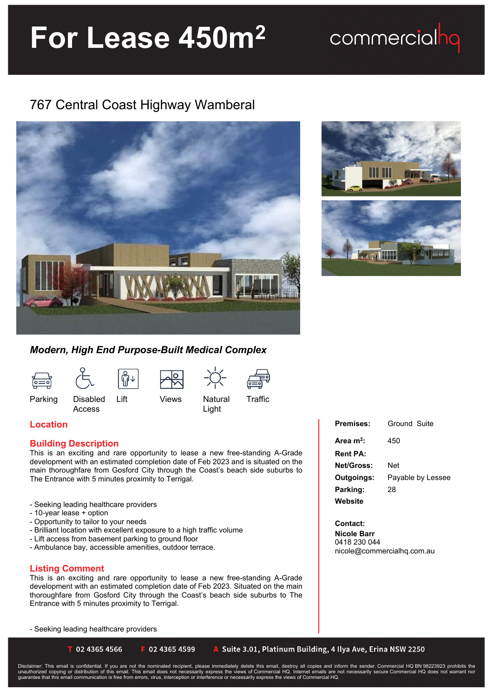# **For Lease 450m<sup>2</sup>**

### commercialhq

### 767 Central Coast Highway Wamberal





#### *Modern, High End Purpose-Built Medical Complex*



Access



Light



Parking Disabled

#### **Location**

#### **Building Description**

This is an exciting and rare opportunity to lease a new free-standing A-Grade development with an estimated completion date of Feb 2023 and is situated on the main thoroughfare from Gosford City through the Coast's beach side suburbs to The Entrance with 5 minutes proximity to Terrigal.

- Seeking leading healthcare providers
- 10-year lease + option
- Opportunity to tailor to your needs
- Brilliant location with excellent exposure to a high traffic volume
- Lift access from basement parking to ground floor
- Ambulance bay, accessible amenities, outdoor terrace.

#### **Listing Comment**

This is an exciting and rare opportunity to lease a new free-standing A-Grade development with an estimated completion date of Feb 2023. Situated on the main thoroughfare from Gosford City through the Coast's beach side suburbs to The Entrance with 5 minutes proximity to Terrigal.

- Seeking leading healthcare providers

■ 02 4365 4566

```
F 02 4365 4599
```
A Suite 3.01, Platinum Building, 4 Ilya Ave, Erina NSW 2250

Disclaimer: This email is confidential. If you are not the nominated recipient, please immediately delete this email, destroy all copies and inform the sender. Commercial HQ BN 98223923 prohibits the<br>unauthorized copying o

| <b>Premises:</b>      | Ground Suite      |
|-----------------------|-------------------|
| Area m <sup>2</sup> : | 450               |
| <b>Rent PA:</b>       |                   |
| <b>Net/Gross:</b>     | Net               |
| Outgoings:            | Payable by Lessee |
| Parking:              | 28                |
| Website               |                   |

**Contact: Nicole Barr** 0418 230 044 nicole@commercialhq.com.au